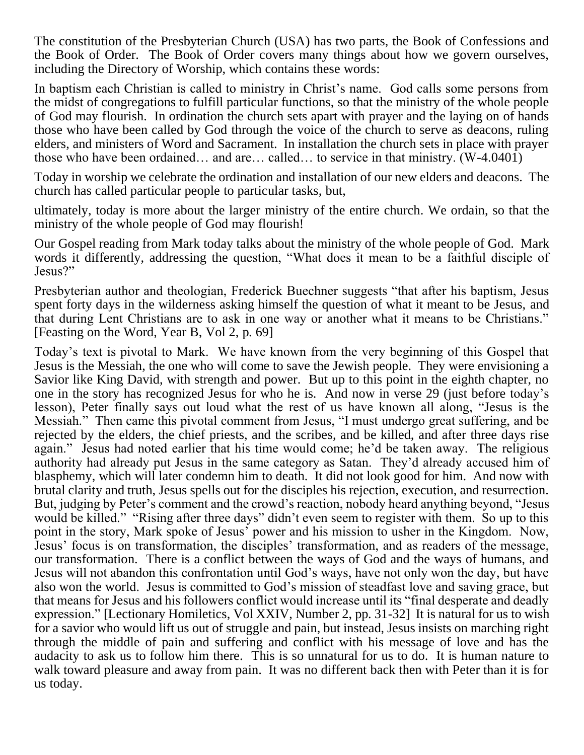The constitution of the Presbyterian Church (USA) has two parts, the Book of Confessions and the Book of Order. The Book of Order covers many things about how we govern ourselves, including the Directory of Worship, which contains these words:

In baptism each Christian is called to ministry in Christ's name. God calls some persons from the midst of congregations to fulfill particular functions, so that the ministry of the whole people of God may flourish. In ordination the church sets apart with prayer and the laying on of hands those who have been called by God through the voice of the church to serve as deacons, ruling elders, and ministers of Word and Sacrament. In installation the church sets in place with prayer those who have been ordained… and are… called… to service in that ministry. (W-4.0401)

Today in worship we celebrate the ordination and installation of our new elders and deacons. The church has called particular people to particular tasks, but,

ultimately, today is more about the larger ministry of the entire church. We ordain, so that the ministry of the whole people of God may flourish!

Our Gospel reading from Mark today talks about the ministry of the whole people of God. Mark words it differently, addressing the question, "What does it mean to be a faithful disciple of Jesus?"

Presbyterian author and theologian, Frederick Buechner suggests "that after his baptism, Jesus spent forty days in the wilderness asking himself the question of what it meant to be Jesus, and that during Lent Christians are to ask in one way or another what it means to be Christians." [Feasting on the Word, Year B, Vol 2, p. 69]

Today's text is pivotal to Mark. We have known from the very beginning of this Gospel that Jesus is the Messiah, the one who will come to save the Jewish people. They were envisioning a Savior like King David, with strength and power. But up to this point in the eighth chapter, no one in the story has recognized Jesus for who he is. And now in verse 29 (just before today's lesson), Peter finally says out loud what the rest of us have known all along, "Jesus is the Messiah." Then came this pivotal comment from Jesus, "I must undergo great suffering, and be rejected by the elders, the chief priests, and the scribes, and be killed, and after three days rise again." Jesus had noted earlier that his time would come; he'd be taken away. The religious authority had already put Jesus in the same category as Satan. They'd already accused him of blasphemy, which will later condemn him to death. It did not look good for him. And now with brutal clarity and truth, Jesus spells out for the disciples his rejection, execution, and resurrection. But, judging by Peter's comment and the crowd's reaction, nobody heard anything beyond, "Jesus would be killed." "Rising after three days" didn't even seem to register with them. So up to this point in the story, Mark spoke of Jesus' power and his mission to usher in the Kingdom. Now, Jesus' focus is on transformation, the disciples' transformation, and as readers of the message, our transformation. There is a conflict between the ways of God and the ways of humans, and Jesus will not abandon this confrontation until God's ways, have not only won the day, but have also won the world. Jesus is committed to God's mission of steadfast love and saving grace, but that means for Jesus and his followers conflict would increase until its "final desperate and deadly expression." [Lectionary Homiletics, Vol XXIV, Number 2, pp. 31-32] It is natural for us to wish for a savior who would lift us out of struggle and pain, but instead, Jesus insists on marching right through the middle of pain and suffering and conflict with his message of love and has the audacity to ask us to follow him there. This is so unnatural for us to do. It is human nature to walk toward pleasure and away from pain. It was no different back then with Peter than it is for us today.